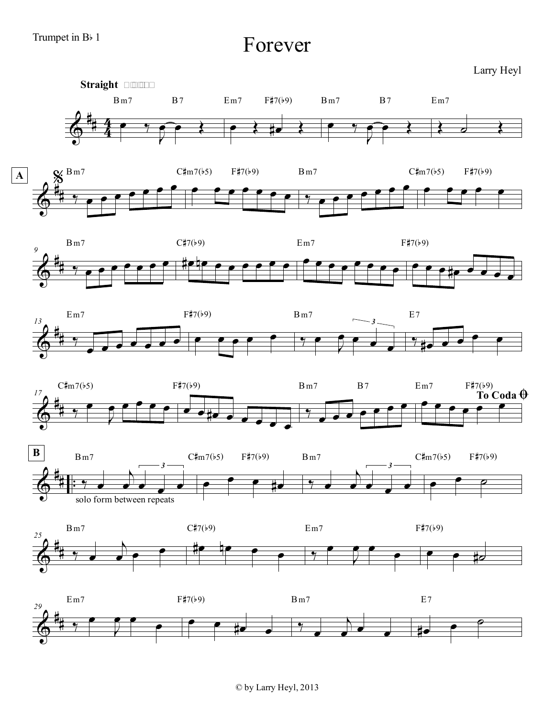Forever

Larry Heyl